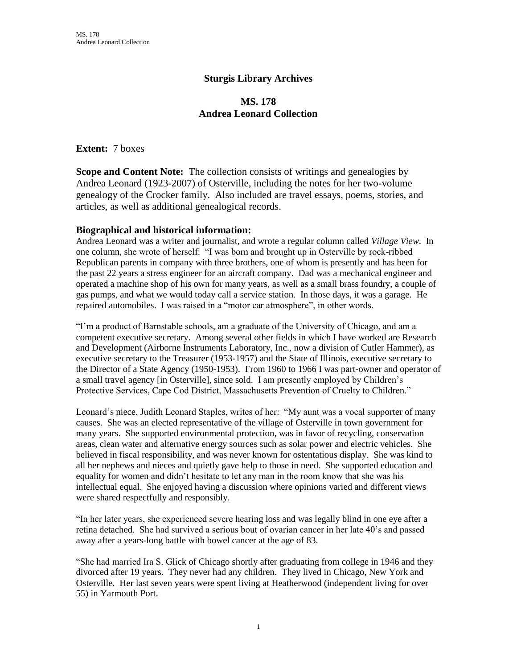## **Sturgis Library Archives**

# **MS. 178 Andrea Leonard Collection**

**Extent:** 7 boxes

**Scope and Content Note:** The collection consists of writings and genealogies by Andrea Leonard (1923-2007) of Osterville, including the notes for her two-volume genealogy of the Crocker family. Also included are travel essays, poems, stories, and articles, as well as additional genealogical records.

#### **Biographical and historical information:**

Andrea Leonard was a writer and journalist, and wrote a regular column called *Village View*. In one column, she wrote of herself: "I was born and brought up in Osterville by rock-ribbed Republican parents in company with three brothers, one of whom is presently and has been for the past 22 years a stress engineer for an aircraft company. Dad was a mechanical engineer and operated a machine shop of his own for many years, as well as a small brass foundry, a couple of gas pumps, and what we would today call a service station. In those days, it was a garage. He repaired automobiles. I was raised in a "motor car atmosphere", in other words.

"I'm a product of Barnstable schools, am a graduate of the University of Chicago, and am a competent executive secretary. Among several other fields in which I have worked are Research and Development (Airborne Instruments Laboratory, Inc., now a division of Cutler Hammer), as executive secretary to the Treasurer (1953-1957) and the State of Illinois, executive secretary to the Director of a State Agency (1950-1953). From 1960 to 1966 I was part-owner and operator of a small travel agency [in Osterville], since sold. I am presently employed by Children's Protective Services, Cape Cod District, Massachusetts Prevention of Cruelty to Children."

Leonard's niece, Judith Leonard Staples, writes of her: "My aunt was a vocal supporter of many causes. She was an elected representative of the village of Osterville in town government for many years. She supported environmental protection, was in favor of recycling, conservation areas, clean water and alternative energy sources such as solar power and electric vehicles. She believed in fiscal responsibility, and was never known for ostentatious display. She was kind to all her nephews and nieces and quietly gave help to those in need. She supported education and equality for women and didn't hesitate to let any man in the room know that she was his intellectual equal. She enjoyed having a discussion where opinions varied and different views were shared respectfully and responsibly.

"In her later years, she experienced severe hearing loss and was legally blind in one eye after a retina detached. She had survived a serious bout of ovarian cancer in her late 40's and passed away after a years-long battle with bowel cancer at the age of 83.

"She had married Ira S. Glick of Chicago shortly after graduating from college in 1946 and they divorced after 19 years. They never had any children. They lived in Chicago, New York and Osterville. Her last seven years were spent living at Heatherwood (independent living for over 55) in Yarmouth Port.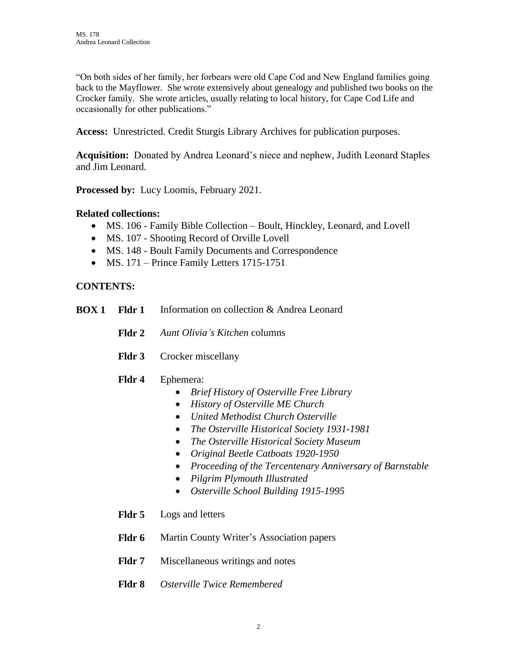"On both sides of her family, her forbears were old Cape Cod and New England families going back to the Mayflower. She wrote extensively about genealogy and published two books on the Crocker family. She wrote articles, usually relating to local history, for Cape Cod Life and occasionally for other publications."

**Access:** Unrestricted. Credit Sturgis Library Archives for publication purposes.

**Acquisition:** Donated by Andrea Leonard's niece and nephew, Judith Leonard Staples and Jim Leonard.

**Processed by:** Lucy Loomis, February 2021.

### **Related collections:**

- MS. 106 Family Bible Collection Boult, Hinckley, Leonard, and Lovell
- MS. 107 Shooting Record of Orville Lovell
- MS. 148 Boult Family Documents and Correspondence
- MS. 171 Prince Family Letters 1715-1751

### **CONTENTS:**

- **BOX 1 Fldr 1** Information on collection & Andrea Leonard
	- **Fldr 2** *Aunt Olivia's Kitchen* columns
	- **Fldr 3** Crocker miscellany

#### **Fldr 4** Ephemera:

- *Brief History of Osterville Free Library*
- *History of Osterville ME Church*
- *United Methodist Church Osterville*
- *The Osterville Historical Society 1931-1981*
- *The Osterville Historical Society Museum*
- *Original Beetle Catboats 1920-1950*
- *Proceeding of the Tercentenary Anniversary of Barnstable*
- *Pilgrim Plymouth Illustrated*
- *Osterville School Building 1915-1995*
- **Fldr 5** Logs and letters
- Fldr 6 Martin County Writer's Association papers
- **Fldr 7** Miscellaneous writings and notes
- **Fldr 8** *Osterville Twice Remembered*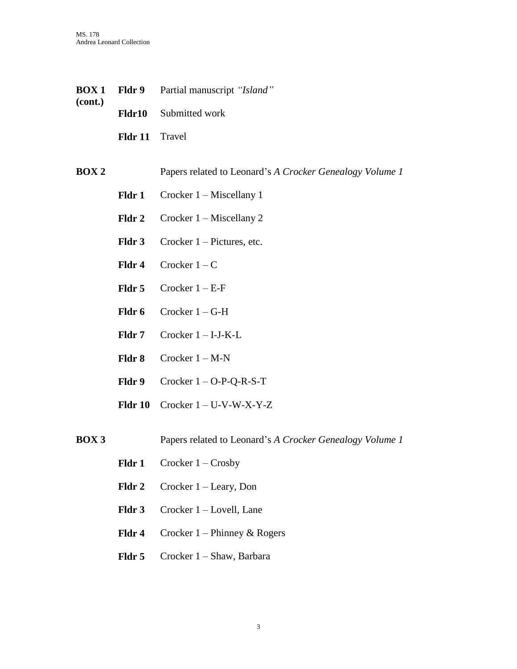- **BOX 1 (cont.) Fldr 9** Partial manuscript *"Island"* **Fldr10** Submitted work **Fldr 11** Travel **BOX 2** Papers related to Leonard's *A Crocker Genealogy Volume 1* Fldr 1 Crocker 1 – Miscellany 1 Fldr 2 Crocker 1 – Miscellany 2 Fldr 3 Crocker 1 – Pictures, etc. **Fldr 4** Crocker  $1 - C$ **Fldr 5** Crocker  $1 - E$ -F Fldr 6 Crocker 1 – G-H **Fldr 7** Crocker  $1 - I-J-K-L$ 
	- **Fldr 8** Crocker 1 M-N
	- **Fldr 9** Crocker 1 O-P-Q-R-S-T
	- **Fldr 10** Crocker 1 U-V-W-X-Y-Z
- **BOX 3** Papers related to Leonard's *A Crocker Genealogy Volume 1*
	- Fldr 1 Crocker 1 Crosby
	- Fldr 2 Crocker 1 Leary, Don
	- Fldr 3 Crocker 1 Lovell, Lane
	- **Fldr 4** Crocker 1 Phinney & Rogers
	- Fldr 5 Crocker 1 Shaw, Barbara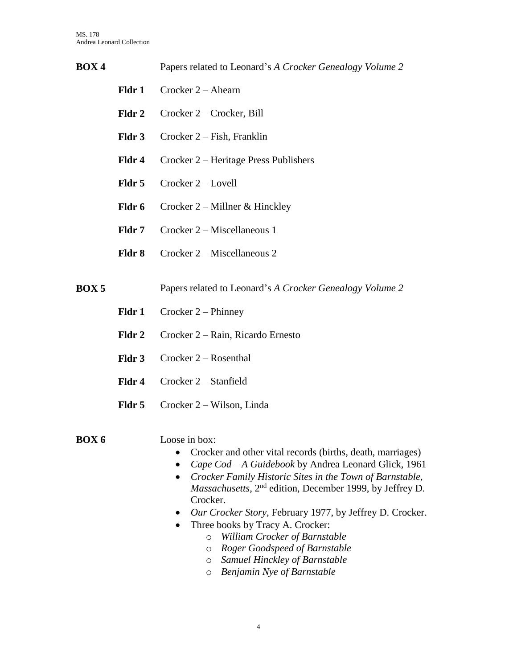| BOX <sub>4</sub> |        | Papers related to Leonard's A Crocker Genealogy Volume 2                                                                                                                                             |
|------------------|--------|------------------------------------------------------------------------------------------------------------------------------------------------------------------------------------------------------|
|                  | Fldr 1 | Crocker $2 - A$ hearn                                                                                                                                                                                |
|                  | Fldr 2 | Crocker 2 – Crocker, Bill                                                                                                                                                                            |
|                  | Fldr 3 | Crocker 2 – Fish, Franklin                                                                                                                                                                           |
|                  | Fldr 4 | Crocker 2 – Heritage Press Publishers                                                                                                                                                                |
|                  | Fldr 5 | Crocker 2 - Lovell                                                                                                                                                                                   |
|                  | Fldr 6 | Crocker $2$ – Millner & Hinckley                                                                                                                                                                     |
|                  | Fldr 7 | Crocker 2 – Miscellaneous 1                                                                                                                                                                          |
|                  | Fldr 8 | Crocker 2 – Miscellaneous 2                                                                                                                                                                          |
| <b>BOX5</b>      |        | Papers related to Leonard's A Crocker Genealogy Volume 2                                                                                                                                             |
|                  | Fldr 1 | Crocker $2$ – Phinney                                                                                                                                                                                |
|                  | Fldr 2 | Crocker 2 – Rain, Ricardo Ernesto                                                                                                                                                                    |
|                  | Fldr 3 | Crocker $2 -$ Rosenthal                                                                                                                                                                              |
|                  | Fldr 4 | Crocker 2 - Stanfield                                                                                                                                                                                |
|                  | Fldr 5 | Crocker 2 – Wilson, Linda                                                                                                                                                                            |
| <b>BOX6</b>      |        | Loose in box:<br>Crocker and other vital records (births, death, marriages)<br>٠<br>Cape Cod - A Guidebook by Andrea Leonard Glick, 1961<br>Crocker Family Historic Sites in the Town of Barnstable, |

Crocker. *Our Crocker Story*, February 1977, by Jeffrey D. Crocker.

*Massachusetts*, 2nd edition, December 1999, by Jeffrey D.

- Three books by Tracy A. Crocker:
	- o *William Crocker of Barnstable*
	- o *Roger Goodspeed of Barnstable*
	- o *Samuel Hinckley of Barnstable*
	- o *Benjamin Nye of Barnstable*